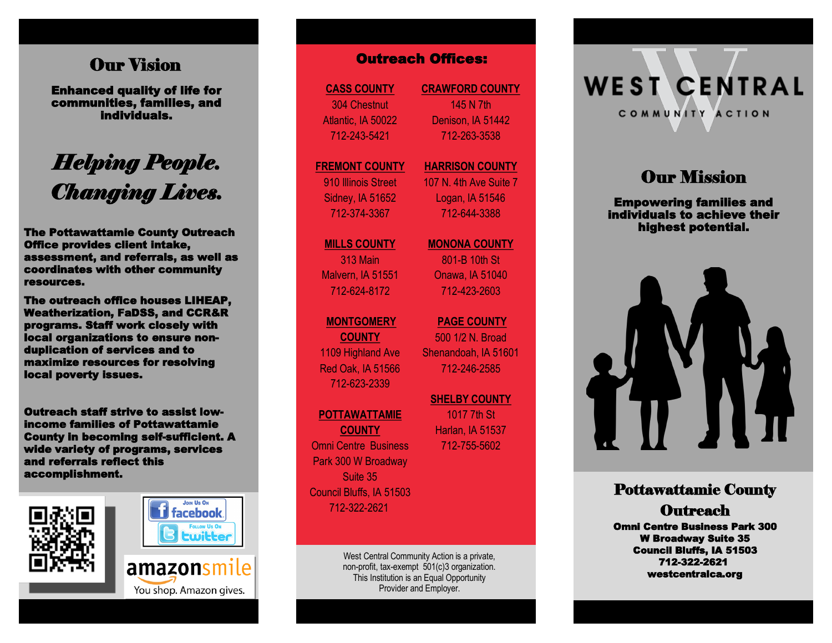## Our Vision

Enhanced quality of life for communities, families, and individuals.

# *Helping People. Changing Lives.*

The Pottawattamie County Outreach Office provides client intake, assessment, and referrals, as well as coordinates with other community resources.

The outreach office houses LIHEAP, Weatherization, FaDSS, and CCR&R programs. Staff work closely with local organizations to ensure nonduplication of services and to maximize resources for resolving local poverty issues. **Channel (19) Carriers and the properties:**<br> **accommunities, families, and**<br> **accommunities, families, and**<br> **accommunities, families, and**<br> **accommunities and**<br> **accommunities and**<br> **accommunities and**<br> **accommunity**<br> **ac** 

Outreach staff strive to assist lowincome families of Pottawattamie County in becoming self-sufficient. A wide variety of programs, services and referrals reflect this





You shop. Amazon gives.

**CASS COUNTY** 304 Chestnut Atlantic, IA 50022 712 -243 -5421

**FREMONT COUNTY** 910 Illinois Street

Sidney, IA 51652 712 -374 -3367

**MILLS COUNTY** 313 Main Malvern, IA 51551 712 -624 -8172

#### **MONTGOMERY**

**COUNTY** 1109 Highland Ave Red Oak, IA 51566 712 -623 -2339

#### **POTTAWATTAMIE**

**COUNTY** Omni Centre Business Park 300 W Broadway Suite 35 Council Bluffs, IA 51503 712 -322 -2621

> West Central Community Action is a private, non -profit, tax -exempt 501(c)3 organization. This Institution is an Equal Opportunity Provider and Employer.

**CRAWFORD COUNTY** 145 N 7th Denison, IA 51442 712 -263 -3538

#### **HARRISON COUNTY** 107 N. 4th Ave Suite 7

Logan, IA 51546 712 -644 -3388

**MONONA COUNTY**

801 -B 10th St Onawa, IA 51040 712 -423 -2603

**PAGE COUNTY**  500 1/2 N. Broad Shenandoah, IA 51601 712 -246 -2585

**SHELBY COUNTY**  1017 7th St Harlan, IA 51537 712 -755 -5602

**WEST CENTRAL** COMMUNITY ACTION

# **Our Mission**

Empowering families and individuals to achieve their highest potential.



## Pottawattamie County

**Outreach** 

Omni Centre Business Park 300 W Broadway Suite 35 Council Bluffs, IA 51503 712 -322 -2621 westcentralca.org